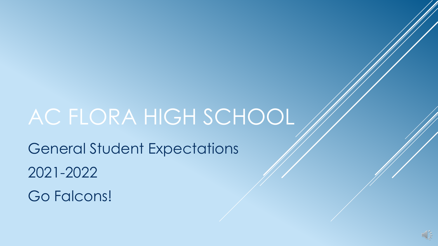# AC FLORA HIGH SCHOOL

General Student Expectations 2021-2022 Go Falcons!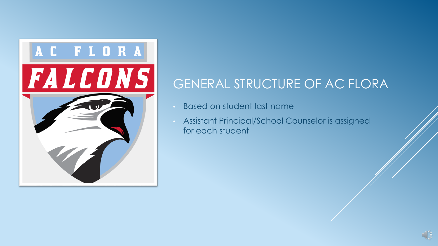

## GENERAL STRUCTURE OF AC FLORA

- Based on student last name
- Assistant Principal/School Counselor is assigned for each student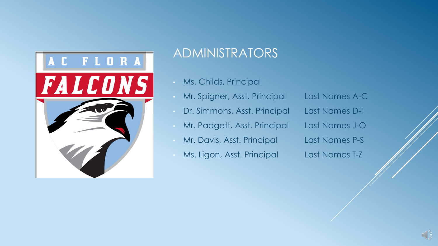

#### ADMINISTRATORS

- Ms. Childs, Principal
- Mr. Spigner, Asst. Principal Last Names A-C
- Dr. Simmons, Asst. Principal Last Names D-I
- Mr. Padgett, Asst. Principal Last Names J-O
- Mr. Davis, Asst. Principal Last Names P-S
- Ms. Ligon, Asst. Principal Last Names T-Z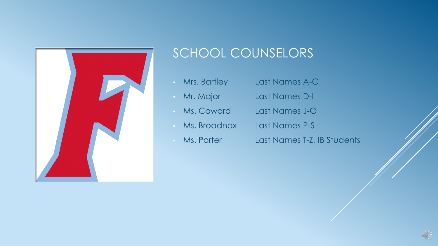

## SCHOOL COUNSELORS

- Mrs. Bartley Last Names A-C
- Mr. Major Last Names D-I
- Ms. Coward Last Names J-O
- Ms. Broadnax Last Names P-S
- 
- Ms. Porter Last Names T-Z, IB Students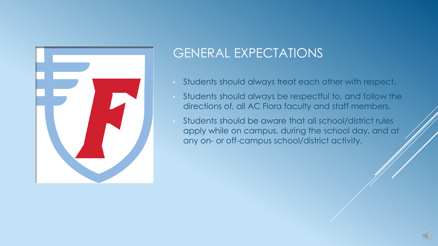

## GENERAL EXPECTATIONS

- Students should always treat each other with respect.
- Students should always be respectful to, and follow the directions of, all AC Flora faculty and staff members.
- Students should be aware that all school/district rules apply while on campus, during the school day, and at any on- or off-campus school/district activity.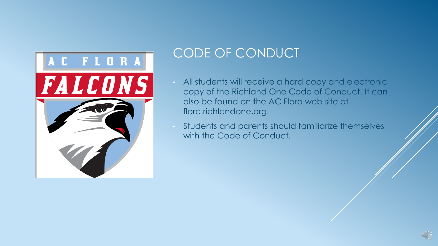

### CODE OF CONDUCT

- All students will receive a hard copy and electronic copy of the Richland One Code of Conduct. It can also be found on the AC Flora web site at flora.richlandone.org.
- Students and parents should familiarize themselves with the Code of Conduct.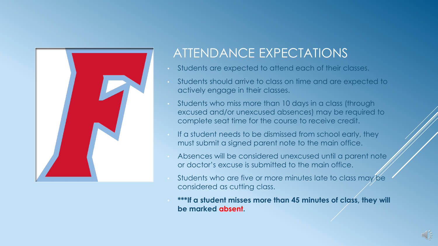

## ATTENDANCE EXPECTATIONS

- Students are expected to attend each of their classes.
- Students should arrive to class on time and are expected to actively engage in their classes.
- Students who miss more than 10 days in a class (through excused and/or unexcused absences) may be required to complete seat time for the course to receive credit.
- If a student needs to be dismissed from school early, they must submit a signed parent note to the main office.
- Absences will be considered unexcused until a parent note or doctor's excuse is submitted to the main office.
- Students who are five or more minutes late to class may be considered as cutting class.
- **\*\*\*If a student misses more than 45 minutes of class, they will be marked absent.**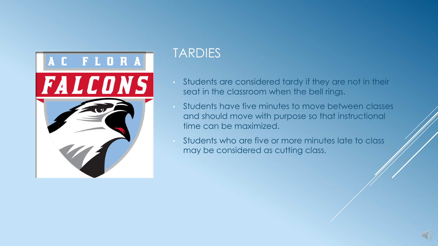

#### TARDIES

- Students are considered tardy if they are not in their seat in the classroom when the bell rings.
- Students have five minutes to move between classes and should move with purpose so that instructional time can be maximized.
- Students who are five or more minutes late to class may be considered as cutting class.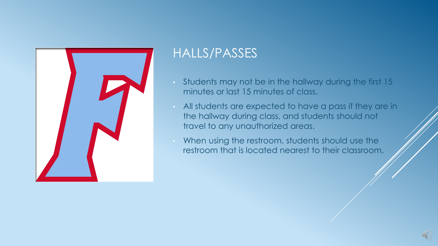

#### HALLS/PASSES

- Students may not be in the hallway during the first 15 minutes or last 15 minutes of class.
- All students are expected to have a pass if they are in the hallway during class, and students should not travel to any unauthorized areas.
- When using the restroom, students should use the restroom that is located nearest to their classroom.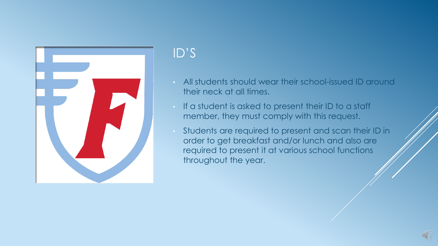

## ID'S

- All students should wear their school-issued ID around their neck at all times.
- If a student is asked to present their ID to a staff member, they must comply with this request.
- Students are required to present and scan their ID in order to get breakfast and/or lunch and also are required to present it at various school functions throughout the year.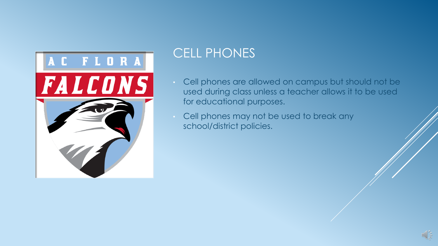

## CELL PHONES

- Cell phones are allowed on campus but should not be used during class unless a teacher allows it to be used for educational purposes.
- Cell phones may not be used to break any school/district policies.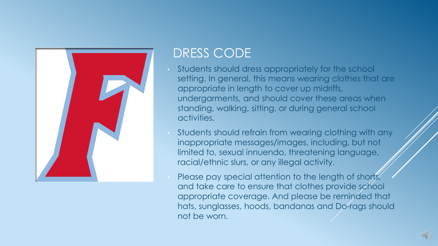

#### DRESS CODE

- Students should dress appropriately for the school setting. In general, this means wearing clothes that are appropriate in length to cover up midriffs, undergarments, and should cover these areas when standing, walking, sitting, or during general school activities.
- Students should refrain from wearing clothing with any inappropriate messages/images, including, but not limited to, sexual innuendo, threatening language, racial/ethnic slurs, or any illegal activity.
- Please pay special attention to the length of shorts, and take care to ensure that clothes provide school appropriate coverage. And please be reminded that hats, sunglasses, hoods, bandanas and Do-rags should not be worn.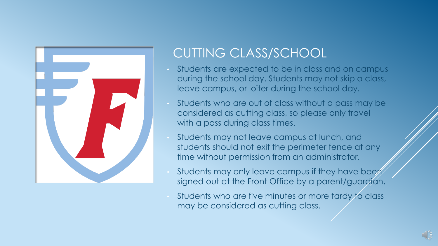

## CUTTING CLASS/SCHOOL

- Students are expected to be in class and on campus during the school day. Students may not skip a class, leave campus, or loiter during the school day.
- Students who are out of class without a pass may be considered as cutting class, so please only travel with a pass during class times.
- Students may not leave campus at lunch, and students should not exit the perimeter fence at any time without permission from an administrator.
- Students may only leave campus if they have been signed out at the Front Office by a parent/guardian.
- Students who are five minutes or more tardy to class may be considered as cutting class.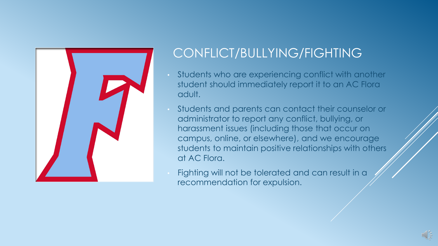

## CONFLICT/BULLYING/FIGHTING

- Students who are experiencing conflict with another student should immediately report it to an AC Flora adult.
- Students and parents can contact their counselor or administrator to report any conflict, bullying, or harassment issues (including those that occur on campus, online, or elsewhere), and we encourage students to maintain positive relationships with others at AC Flora.
- Fighting will not be tolerated and can result in a recommendation for expulsion.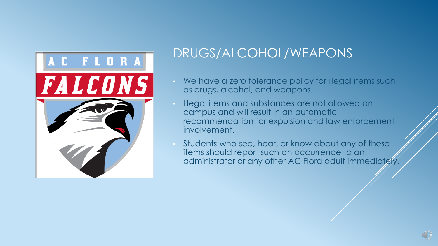

## DRUGS/ALCOHOL/WEAPONS

- We have a zero tolerance policy for illegal items such as drugs, alcohol, and weapons.
- Illegal items and substances are not allowed on campus and will result in an automatic recommendation for expulsion and law enforcement involvement.
- Students who see, hear, or know about any of these items should report such an occurrence to an administrator or any other AC Flora adult immediately.